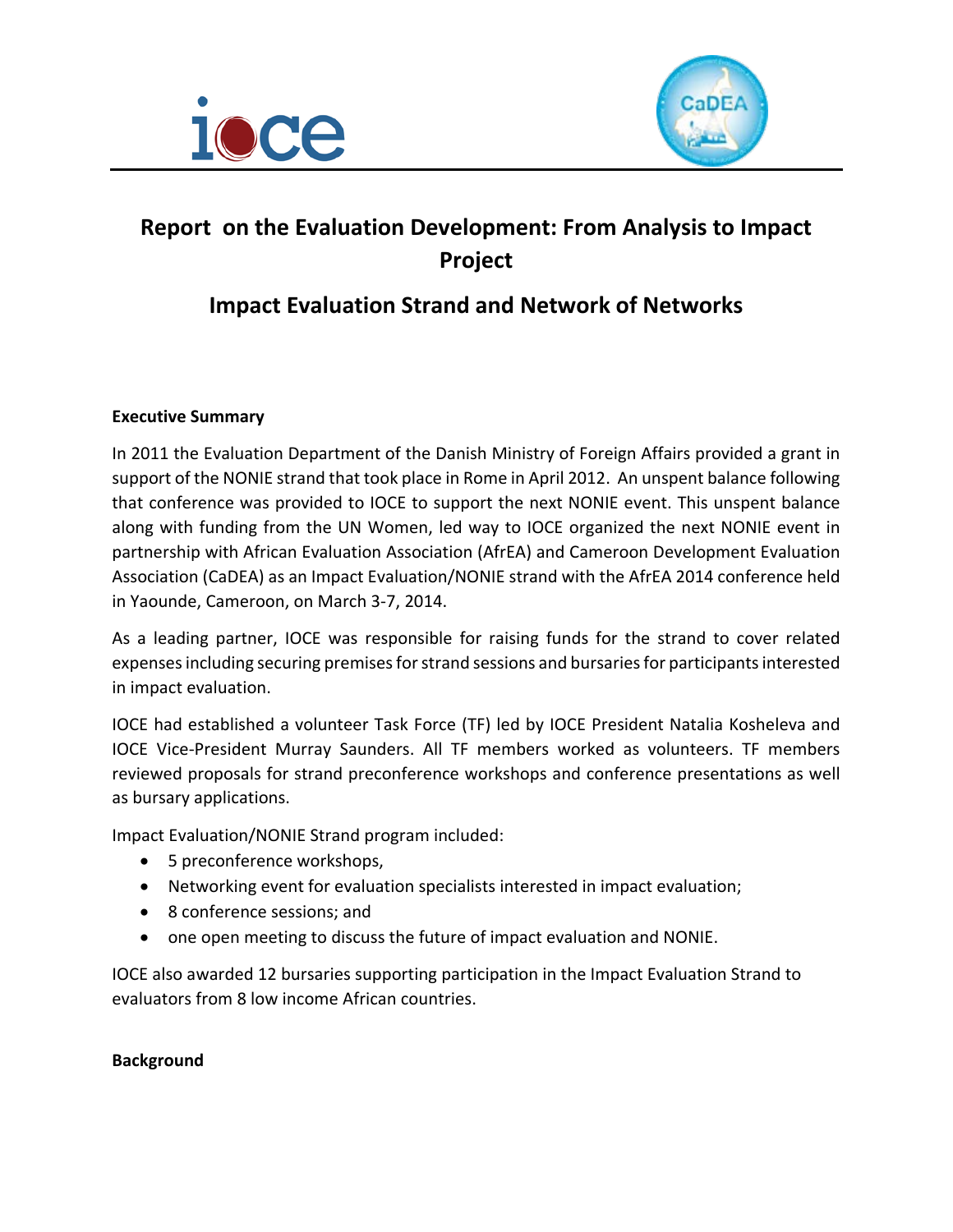



# **Report on the Evaluation Development: From Analysis to Impact Project**

# **Impact Evaluation Strand and Network of Networks**

# **Executive Summary**

In 2011 the Evaluation Department of the Danish Ministry of Foreign Affairs provided a grant in support of the NONIE strand that took place in Rome in April 2012. An unspent balance following that conference was provided to IOCE to support the next NONIE event. This unspent balance along with funding from the UN Women, led way to IOCE organized the next NONIE event in partnership with African Evaluation Association (AfrEA) and Cameroon Development Evaluation Association (CaDEA) as an Impact Evaluation/NONIE strand with the AfrEA 2014 conference held in Yaounde, Cameroon, on March 3-7, 2014.

As a leading partner, IOCE was responsible for raising funds for the strand to cover related expenses including securing premises for strand sessions and bursaries for participants interested in impact evaluation.

IOCE had established a volunteer Task Force (TF) led by IOCE President Natalia Kosheleva and IOCE Vice-President Murray Saunders. All TF members worked as volunteers. TF members reviewed proposals for strand preconference workshops and conference presentations as well as bursary applications.

Impact Evaluation/NONIE Strand program included:

- 5 preconference workshops,
- Networking event for evaluation specialists interested in impact evaluation;
- 8 conference sessions; and
- one open meeting to discuss the future of impact evaluation and NONIE.

IOCE also awarded 12 bursaries supporting participation in the Impact Evaluation Strand to evaluators from 8 low income African countries.

## **Background**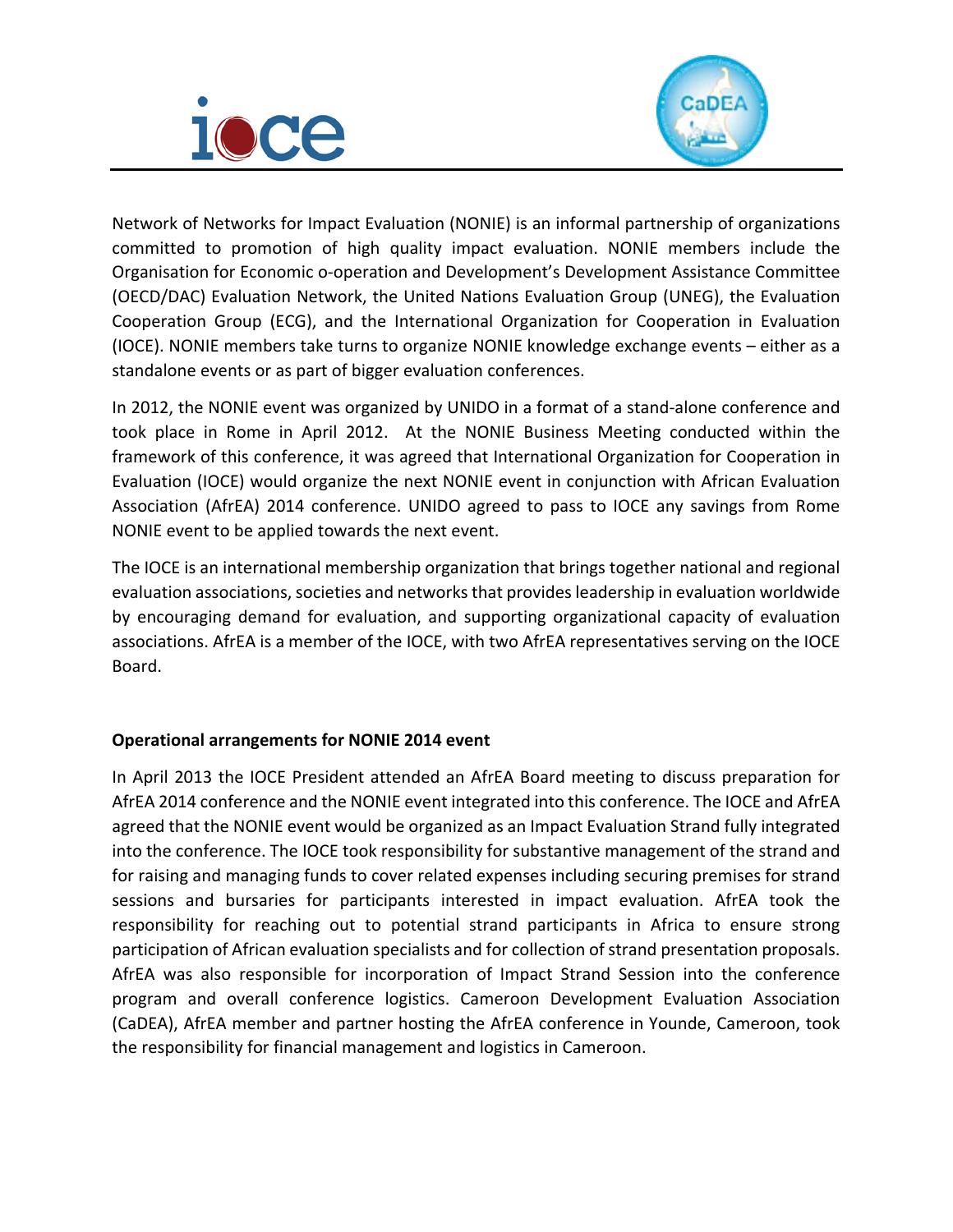



Network of Networks for Impact Evaluation (NONIE) is an informal partnership of organizations committed to promotion of high quality impact evaluation. NONIE members include the Organisation for Economic o-operation and Development's Development Assistance Committee (OECD/DAC) Evaluation Network, the United Nations Evaluation Group (UNEG), the Evaluation Cooperation Group (ECG), and the International Organization for Cooperation in Evaluation (IOCE). NONIE members take turns to organize NONIE knowledge exchange events – either as a standalone events or as part of bigger evaluation conferences.

In 2012, the NONIE event was organized by UNIDO in a format of a stand-alone conference and took place in Rome in April 2012. At the NONIE Business Meeting conducted within the framework of this conference, it was agreed that International Organization for Cooperation in Evaluation (IOCE) would organize the next NONIE event in conjunction with African Evaluation Association (AfrEA) 2014 conference. UNIDO agreed to pass to IOCE any savings from Rome NONIE event to be applied towards the next event.

The IOCE is an international membership organization that brings together national and regional evaluation associations, societies and networks that provides leadership in evaluation worldwide by encouraging demand for evaluation, and supporting organizational capacity of evaluation associations. AfrEA is a member of the IOCE, with two AfrEA representatives serving on the IOCE Board.

# **Operational arrangements for NONIE 2014 event**

In April 2013 the IOCE President attended an AfrEA Board meeting to discuss preparation for AfrEA 2014 conference and the NONIE event integrated into this conference. The IOCE and AfrEA agreed that the NONIE event would be organized as an Impact Evaluation Strand fully integrated into the conference. The IOCE took responsibility for substantive management of the strand and for raising and managing funds to cover related expenses including securing premises for strand sessions and bursaries for participants interested in impact evaluation. AfrEA took the responsibility for reaching out to potential strand participants in Africa to ensure strong participation of African evaluation specialists and for collection of strand presentation proposals. AfrEA was also responsible for incorporation of Impact Strand Session into the conference program and overall conference logistics. Cameroon Development Evaluation Association (CaDEA), AfrEA member and partner hosting the AfrEA conference in Younde, Cameroon, took the responsibility for financial management and logistics in Cameroon.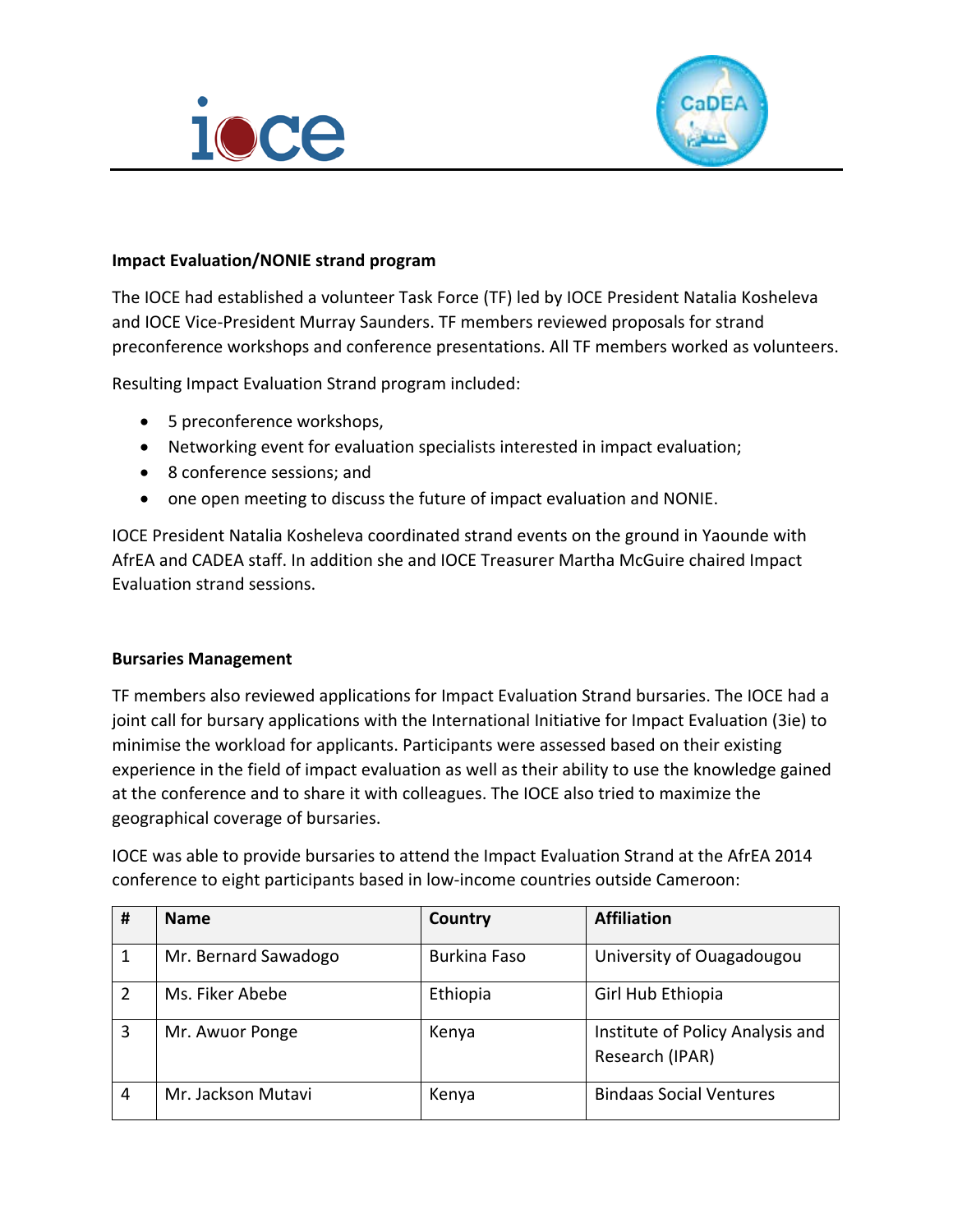



## **Impact Evaluation/NONIE strand program**

The IOCE had established a volunteer Task Force (TF) led by IOCE President Natalia Kosheleva and IOCE Vice-President Murray Saunders. TF members reviewed proposals for strand preconference workshops and conference presentations. All TF members worked as volunteers.

Resulting Impact Evaluation Strand program included:

- 5 preconference workshops,
- Networking event for evaluation specialists interested in impact evaluation;
- 8 conference sessions; and
- one open meeting to discuss the future of impact evaluation and NONIE.

IOCE President Natalia Kosheleva coordinated strand events on the ground in Yaounde with AfrEA and CADEA staff. In addition she and IOCE Treasurer Martha McGuire chaired Impact Evaluation strand sessions.

## **Bursaries Management**

TF members also reviewed applications for Impact Evaluation Strand bursaries. The IOCE had a joint call for bursary applications with the International Initiative for Impact Evaluation (3ie) to minimise the workload for applicants. Participants were assessed based on their existing experience in the field of impact evaluation as well as their ability to use the knowledge gained at the conference and to share it with colleagues. The IOCE also tried to maximize the geographical coverage of bursaries.

IOCE was able to provide bursaries to attend the Impact Evaluation Strand at the AfrEA 2014 conference to eight participants based in low-income countries outside Cameroon:

| # | <b>Name</b>          | <b>Country</b>      | <b>Affiliation</b>                                  |  |
|---|----------------------|---------------------|-----------------------------------------------------|--|
|   | Mr. Bernard Sawadogo | <b>Burkina Faso</b> | University of Ouagadougou                           |  |
| 2 | Ms. Fiker Abebe      | Ethiopia            | Girl Hub Ethiopia                                   |  |
| 3 | Mr. Awuor Ponge      | Kenya               | Institute of Policy Analysis and<br>Research (IPAR) |  |
| 4 | Mr. Jackson Mutavi   | Kenya               | <b>Bindaas Social Ventures</b>                      |  |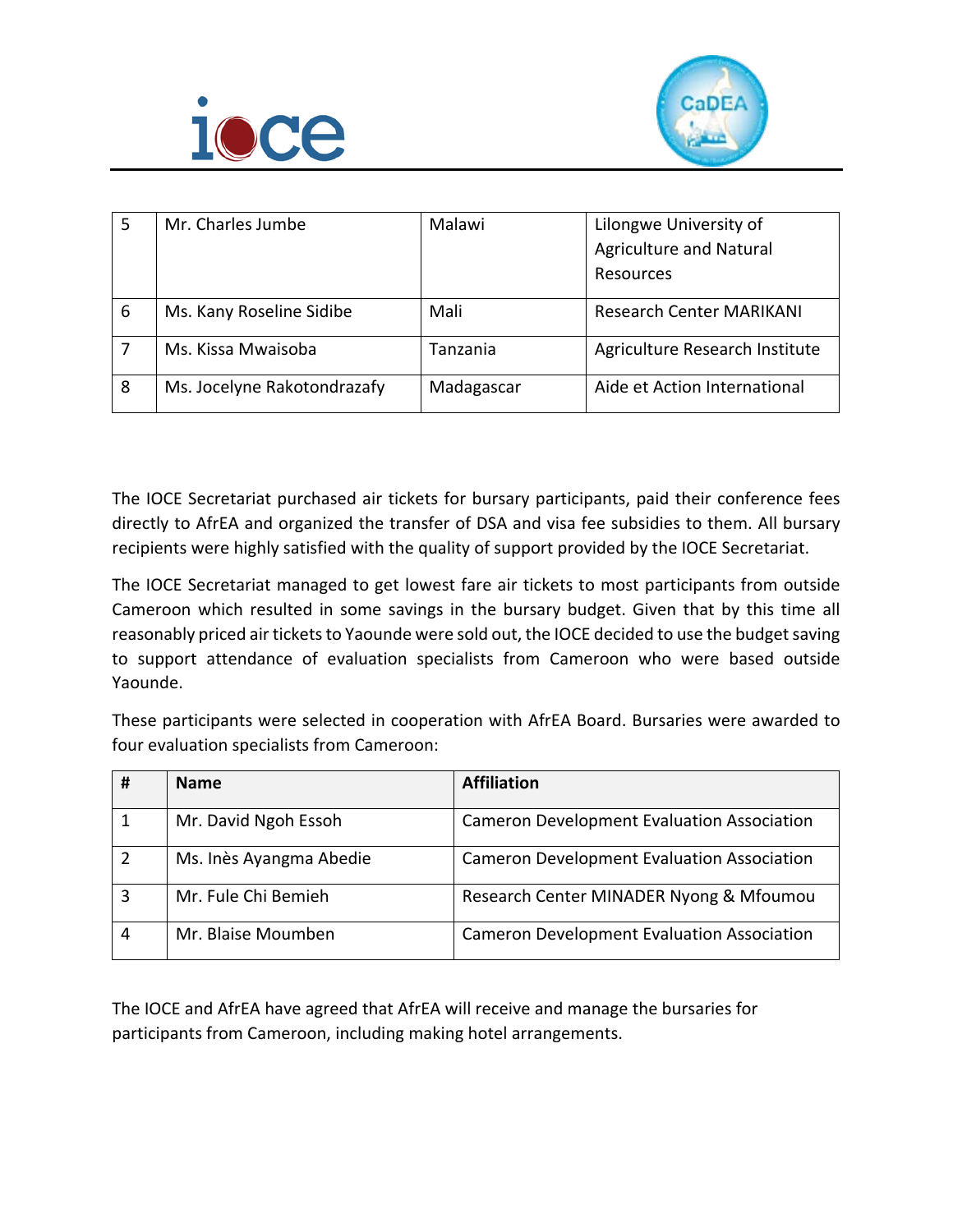



| 5 | Mr. Charles Jumbe           | Malawi     | Lilongwe University of<br><b>Agriculture and Natural</b><br>Resources |  |
|---|-----------------------------|------------|-----------------------------------------------------------------------|--|
| 6 | Ms. Kany Roseline Sidibe    | Mali       | <b>Research Center MARIKANI</b>                                       |  |
|   | Ms. Kissa Mwaisoba          | Tanzania   | Agriculture Research Institute                                        |  |
| 8 | Ms. Jocelyne Rakotondrazafy | Madagascar | Aide et Action International                                          |  |

The IOCE Secretariat purchased air tickets for bursary participants, paid their conference fees directly to AfrEA and organized the transfer of DSA and visa fee subsidies to them. All bursary recipients were highly satisfied with the quality of support provided by the IOCE Secretariat.

The IOCE Secretariat managed to get lowest fare air tickets to most participants from outside Cameroon which resulted in some savings in the bursary budget. Given that by this time all reasonably priced air tickets to Yaounde were sold out, the IOCE decided to use the budget saving to support attendance of evaluation specialists from Cameroon who were based outside Yaounde.

These participants were selected in cooperation with AfrEA Board. Bursaries were awarded to four evaluation specialists from Cameroon:

| # | <b>Name</b>             | <b>Affiliation</b>                                |
|---|-------------------------|---------------------------------------------------|
|   | Mr. David Ngoh Essoh    | <b>Cameron Development Evaluation Association</b> |
|   | Ms. Inès Ayangma Abedie | <b>Cameron Development Evaluation Association</b> |
| 3 | Mr. Fule Chi Bemieh     | Research Center MINADER Nyong & Mfoumou           |
| 4 | Mr. Blaise Moumben      | Cameron Development Evaluation Association        |

The IOCE and AfrEA have agreed that AfrEA will receive and manage the bursaries for participants from Cameroon, including making hotel arrangements.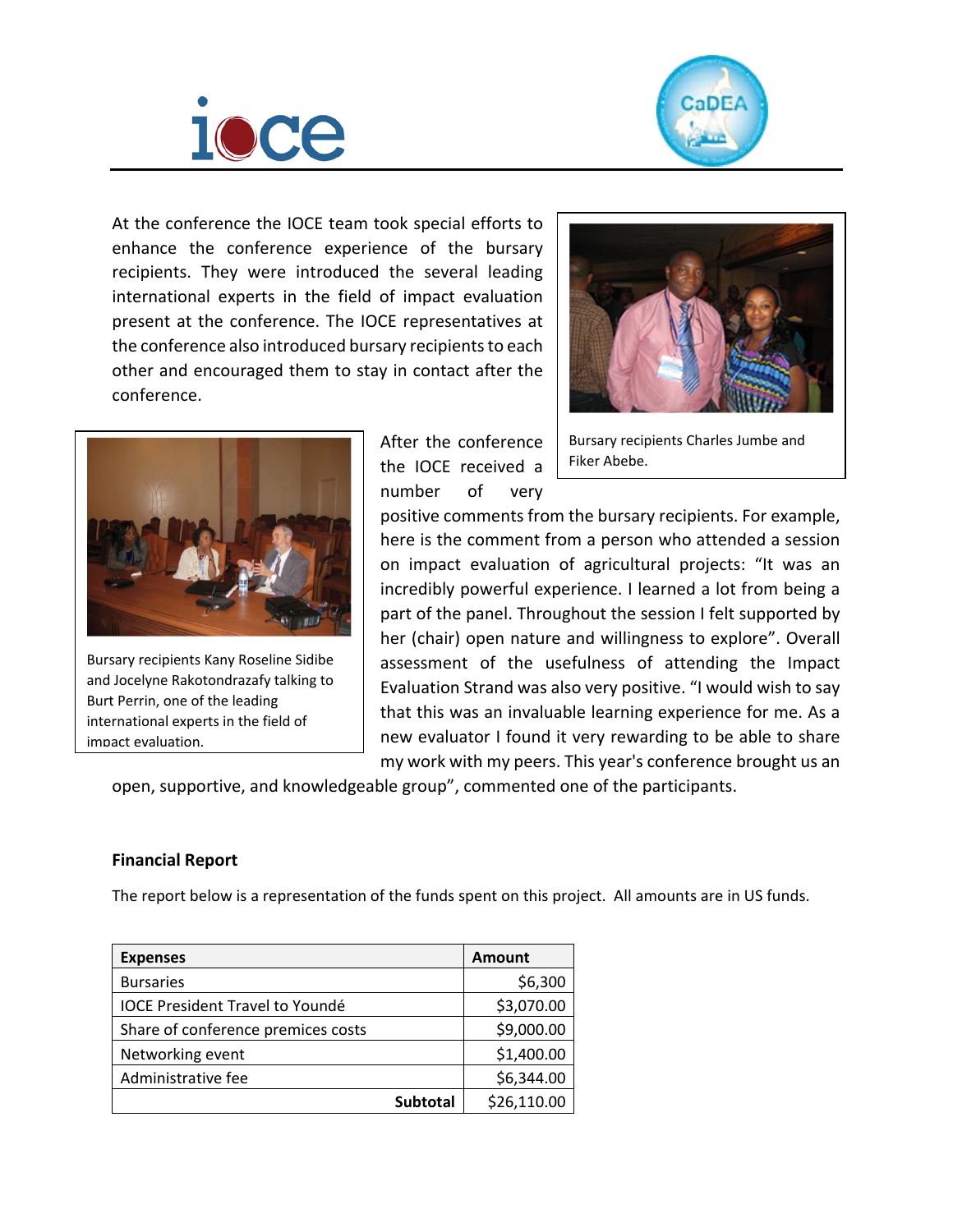



At the conference the IOCE team took special efforts to enhance the conference experience of the bursary recipients. They were introduced the several leading international experts in the field of impact evaluation present at the conference. The IOCE representatives at the conference also introduced bursary recipients to each other and encouraged them to stay in contact after the conference.





Bursary recipients Kany Roseline Sidibe and Jocelyne Rakotondrazafy talking to Burt Perrin, one of the leading international experts in the field of impact evaluation.

After the conference the IOCE received a number of very

Bursary recipients Charles Jumbe and Fiker Abebe.

positive comments from the bursary recipients. For example, here is the comment from a person who attended a session on impact evaluation of agricultural projects: "It was an incredibly powerful experience. I learned a lot from being a part of the panel. Throughout the session I felt supported by her (chair) open nature and willingness to explore". Overall assessment of the usefulness of attending the Impact Evaluation Strand was also very positive. "I would wish to say that this was an invaluable learning experience for me. As a new evaluator I found it very rewarding to be able to share my work with my peers. This year's conference brought us an

open, supportive, and knowledgeable group", commented one of the participants.

## **Financial Report**

The report below is a representation of the funds spent on this project. All amounts are in US funds.

| <b>Expenses</b>                        | <b>Amount</b>   |             |
|----------------------------------------|-----------------|-------------|
| <b>Bursaries</b>                       |                 | \$6,300     |
| <b>IOCE President Travel to Youndé</b> |                 | \$3,070.00  |
| Share of conference premices costs     |                 | \$9,000.00  |
| Networking event                       |                 | \$1,400.00  |
| Administrative fee                     |                 | \$6,344.00  |
|                                        | <b>Subtotal</b> | \$26,110.00 |